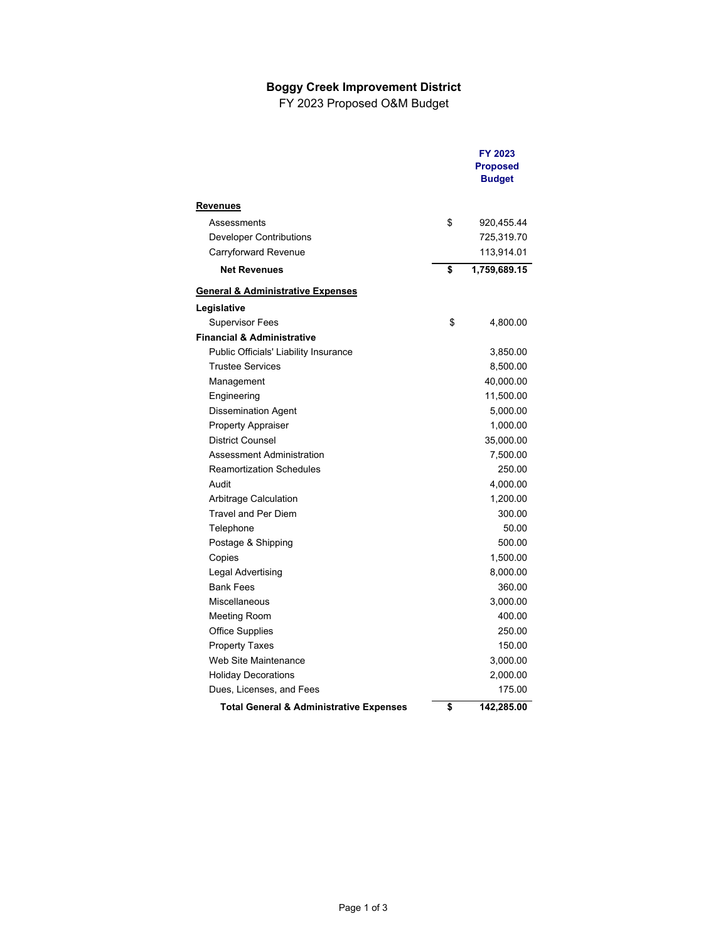## **Boggy Creek Improvement District**

FY 2023 Proposed O&M Budget

|                                                    | FY 2023<br><b>Proposed</b><br><b>Budget</b> |
|----------------------------------------------------|---------------------------------------------|
| <b>Revenues</b>                                    |                                             |
| Assessments                                        | \$<br>920,455.44                            |
| Developer Contributions                            | 725,319.70                                  |
| Carryforward Revenue                               | 113,914.01                                  |
| <b>Net Revenues</b>                                | \$<br>1,759,689.15                          |
| <u>General &amp; Administrative Expenses</u>       |                                             |
| Legislative                                        |                                             |
| <b>Supervisor Fees</b>                             | \$<br>4,800.00                              |
| <b>Financial &amp; Administrative</b>              |                                             |
| Public Officials' Liability Insurance              | 3,850.00                                    |
| <b>Trustee Services</b>                            | 8,500.00                                    |
| Management                                         | 40,000.00                                   |
| Engineering                                        | 11,500.00                                   |
| <b>Dissemination Agent</b>                         | 5,000.00                                    |
| <b>Property Appraiser</b>                          | 1,000.00                                    |
| <b>District Counsel</b>                            | 35,000.00                                   |
| Assessment Administration                          | 7,500.00                                    |
| <b>Reamortization Schedules</b>                    | 250.00                                      |
| Audit                                              | 4,000.00                                    |
| Arbitrage Calculation                              | 1,200.00                                    |
| <b>Travel and Per Diem</b>                         | 300.00                                      |
| Telephone                                          | 50.00                                       |
| Postage & Shipping                                 | 500.00                                      |
| Copies                                             | 1,500.00                                    |
| Legal Advertising                                  | 8,000.00                                    |
| <b>Bank Fees</b>                                   | 360.00                                      |
| Miscellaneous                                      | 3,000.00                                    |
| Meeting Room                                       | 400.00                                      |
| <b>Office Supplies</b>                             | 250.00                                      |
| <b>Property Taxes</b>                              | 150.00                                      |
| Web Site Maintenance                               | 3,000.00                                    |
| <b>Holiday Decorations</b>                         | 2,000.00                                    |
| Dues, Licenses, and Fees                           | 175.00                                      |
| <b>Total General &amp; Administrative Expenses</b> | \$<br>142,285.00                            |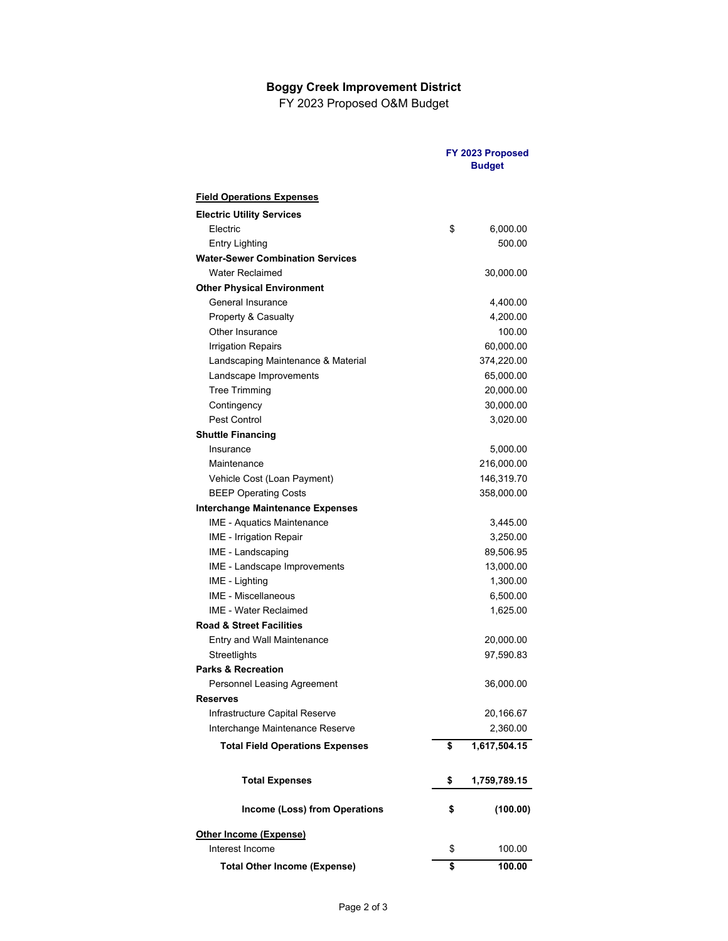## **Boggy Creek Improvement District**

FY 2023 Proposed O&M Budget

|                                         | FY 2023 Proposed<br><b>Budget</b> |              |
|-----------------------------------------|-----------------------------------|--------------|
| <b>Field Operations Expenses</b>        |                                   |              |
| <b>Electric Utility Services</b>        |                                   |              |
| Electric                                | \$                                | 6,000.00     |
| <b>Entry Lighting</b>                   |                                   | 500.00       |
| <b>Water-Sewer Combination Services</b> |                                   |              |
| <b>Water Reclaimed</b>                  |                                   | 30,000.00    |
| <b>Other Physical Environment</b>       |                                   |              |
| General Insurance                       |                                   | 4,400.00     |
| Property & Casualty                     |                                   | 4,200.00     |
| Other Insurance                         |                                   | 100.00       |
| <b>Irrigation Repairs</b>               |                                   | 60,000.00    |
| Landscaping Maintenance & Material      |                                   | 374,220.00   |
| Landscape Improvements                  |                                   | 65,000.00    |
| <b>Tree Trimming</b>                    |                                   | 20,000.00    |
| Contingency                             |                                   | 30,000.00    |
| Pest Control                            |                                   | 3,020.00     |
| <b>Shuttle Financing</b>                |                                   |              |
| Insurance                               |                                   | 5,000.00     |
| Maintenance                             |                                   | 216,000.00   |
| Vehicle Cost (Loan Payment)             |                                   | 146,319.70   |
| <b>BEEP Operating Costs</b>             |                                   | 358,000.00   |
| <b>Interchange Maintenance Expenses</b> |                                   |              |
| <b>IME - Aquatics Maintenance</b>       |                                   | 3,445.00     |
| IME - Irrigation Repair                 |                                   | 3,250.00     |
| IME - Landscaping                       |                                   | 89,506.95    |
| IME - Landscape Improvements            |                                   | 13,000.00    |
| IME - Lighting                          |                                   | 1,300.00     |
| <b>IME - Miscellaneous</b>              |                                   | 6,500.00     |
| <b>IME - Water Reclaimed</b>            |                                   | 1,625.00     |
| <b>Road &amp; Street Facilities</b>     |                                   |              |
| Entry and Wall Maintenance              |                                   | 20,000.00    |
| Streetlights                            |                                   | 97,590.83    |
| <b>Parks &amp; Recreation</b>           |                                   |              |
| Personnel Leasing Agreement             |                                   | 36,000.00    |
| <b>Reserves</b>                         |                                   |              |
| Infrastructure Capital Reserve          |                                   | 20,166.67    |
| Interchange Maintenance Reserve         |                                   | 2,360.00     |
| <b>Total Field Operations Expenses</b>  | \$                                | 1,617,504.15 |
| <b>Total Expenses</b>                   | \$                                | 1,759,789.15 |
| <b>Income (Loss) from Operations</b>    | \$                                | (100.00)     |
| <b>Other Income (Expense)</b>           |                                   |              |
| Interest Income                         | \$                                | 100.00       |
| <b>Total Other Income (Expense)</b>     | \$                                | 100.00       |